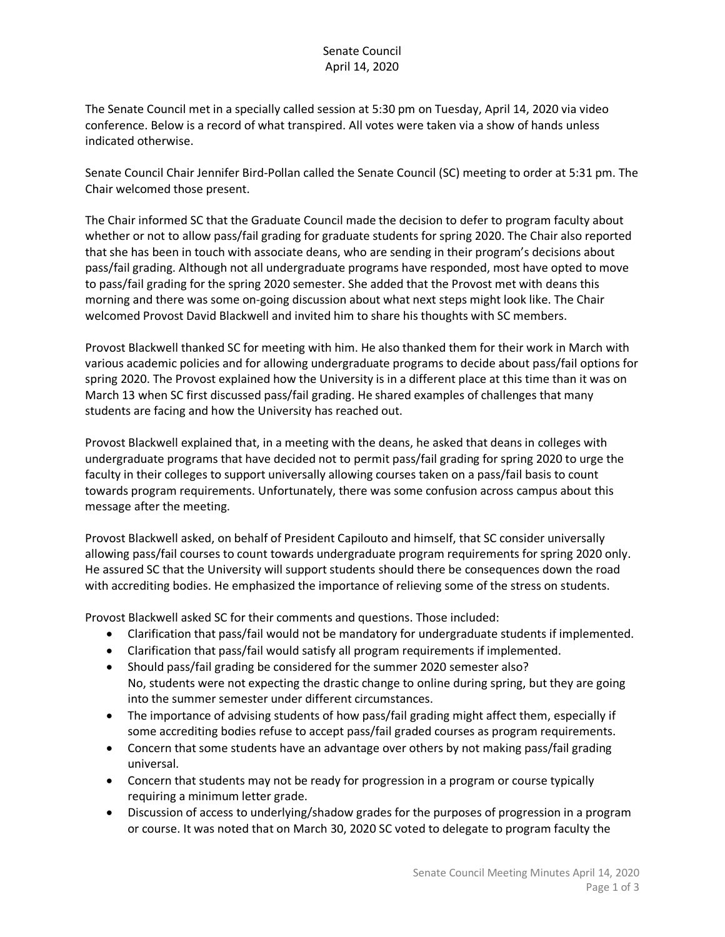## Senate Council April 14, 2020

The Senate Council met in a specially called session at 5:30 pm on Tuesday, April 14, 2020 via video conference. Below is a record of what transpired. All votes were taken via a show of hands unless indicated otherwise.

Senate Council Chair Jennifer Bird-Pollan called the Senate Council (SC) meeting to order at 5:31 pm. The Chair welcomed those present.

The Chair informed SC that the Graduate Council made the decision to defer to program faculty about whether or not to allow pass/fail grading for graduate students for spring 2020. The Chair also reported that she has been in touch with associate deans, who are sending in their program's decisions about pass/fail grading. Although not all undergraduate programs have responded, most have opted to move to pass/fail grading for the spring 2020 semester. She added that the Provost met with deans this morning and there was some on-going discussion about what next steps might look like. The Chair welcomed Provost David Blackwell and invited him to share his thoughts with SC members.

Provost Blackwell thanked SC for meeting with him. He also thanked them for their work in March with various academic policies and for allowing undergraduate programs to decide about pass/fail options for spring 2020. The Provost explained how the University is in a different place at this time than it was on March 13 when SC first discussed pass/fail grading. He shared examples of challenges that many students are facing and how the University has reached out.

Provost Blackwell explained that, in a meeting with the deans, he asked that deans in colleges with undergraduate programs that have decided not to permit pass/fail grading for spring 2020 to urge the faculty in their colleges to support universally allowing courses taken on a pass/fail basis to count towards program requirements. Unfortunately, there was some confusion across campus about this message after the meeting.

Provost Blackwell asked, on behalf of President Capilouto and himself, that SC consider universally allowing pass/fail courses to count towards undergraduate program requirements for spring 2020 only. He assured SC that the University will support students should there be consequences down the road with accrediting bodies. He emphasized the importance of relieving some of the stress on students.

Provost Blackwell asked SC for their comments and questions. Those included:

- Clarification that pass/fail would not be mandatory for undergraduate students if implemented.
- Clarification that pass/fail would satisfy all program requirements if implemented.
- Should pass/fail grading be considered for the summer 2020 semester also? No, students were not expecting the drastic change to online during spring, but they are going into the summer semester under different circumstances.
- The importance of advising students of how pass/fail grading might affect them, especially if some accrediting bodies refuse to accept pass/fail graded courses as program requirements.
- Concern that some students have an advantage over others by not making pass/fail grading universal.
- Concern that students may not be ready for progression in a program or course typically requiring a minimum letter grade.
- Discussion of access to underlying/shadow grades for the purposes of progression in a program or course. It was noted that on March 30, 2020 SC voted to delegate to program faculty the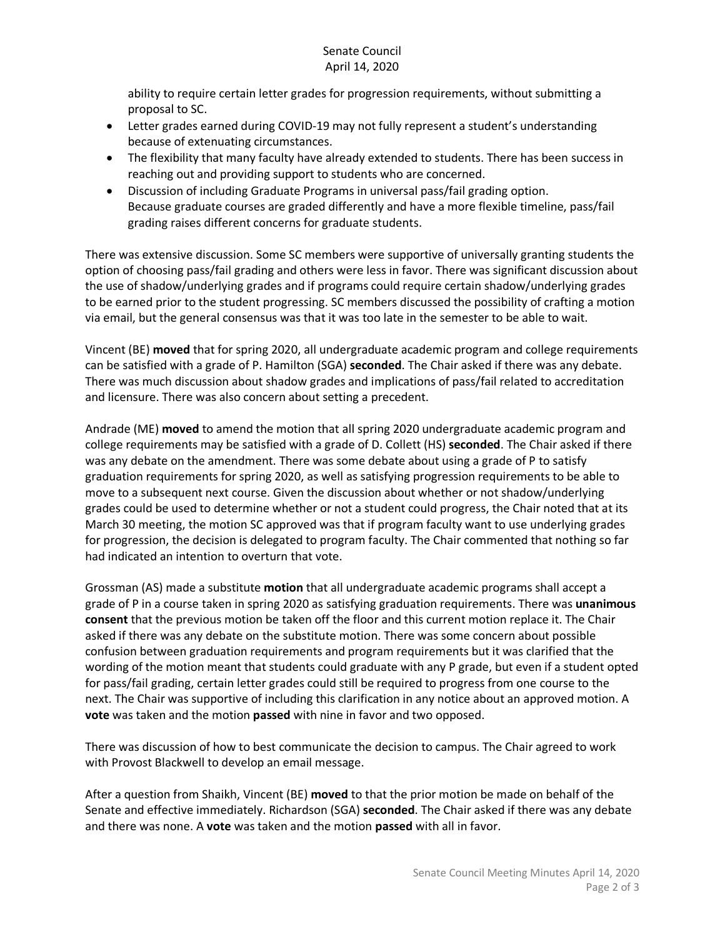## Senate Council April 14, 2020

ability to require certain letter grades for progression requirements, without submitting a proposal to SC.

- Letter grades earned during COVID-19 may not fully represent a student's understanding because of extenuating circumstances.
- The flexibility that many faculty have already extended to students. There has been success in reaching out and providing support to students who are concerned.
- Discussion of including Graduate Programs in universal pass/fail grading option. Because graduate courses are graded differently and have a more flexible timeline, pass/fail grading raises different concerns for graduate students.

There was extensive discussion. Some SC members were supportive of universally granting students the option of choosing pass/fail grading and others were less in favor. There was significant discussion about the use of shadow/underlying grades and if programs could require certain shadow/underlying grades to be earned prior to the student progressing. SC members discussed the possibility of crafting a motion via email, but the general consensus was that it was too late in the semester to be able to wait.

Vincent (BE) **moved** that for spring 2020, all undergraduate academic program and college requirements can be satisfied with a grade of P. Hamilton (SGA) **seconded**. The Chair asked if there was any debate. There was much discussion about shadow grades and implications of pass/fail related to accreditation and licensure. There was also concern about setting a precedent.

Andrade (ME) **moved** to amend the motion that all spring 2020 undergraduate academic program and college requirements may be satisfied with a grade of D. Collett (HS) **seconded**. The Chair asked if there was any debate on the amendment. There was some debate about using a grade of P to satisfy graduation requirements for spring 2020, as well as satisfying progression requirements to be able to move to a subsequent next course. Given the discussion about whether or not shadow/underlying grades could be used to determine whether or not a student could progress, the Chair noted that at its March 30 meeting, the motion SC approved was that if program faculty want to use underlying grades for progression, the decision is delegated to program faculty. The Chair commented that nothing so far had indicated an intention to overturn that vote.

Grossman (AS) made a substitute **motion** that all undergraduate academic programs shall accept a grade of P in a course taken in spring 2020 as satisfying graduation requirements. There was **unanimous consent** that the previous motion be taken off the floor and this current motion replace it. The Chair asked if there was any debate on the substitute motion. There was some concern about possible confusion between graduation requirements and program requirements but it was clarified that the wording of the motion meant that students could graduate with any P grade, but even if a student opted for pass/fail grading, certain letter grades could still be required to progress from one course to the next. The Chair was supportive of including this clarification in any notice about an approved motion. A **vote** was taken and the motion **passed** with nine in favor and two opposed.

There was discussion of how to best communicate the decision to campus. The Chair agreed to work with Provost Blackwell to develop an email message.

After a question from Shaikh, Vincent (BE) **moved** to that the prior motion be made on behalf of the Senate and effective immediately. Richardson (SGA) **seconded**. The Chair asked if there was any debate and there was none. A **vote** was taken and the motion **passed** with all in favor.